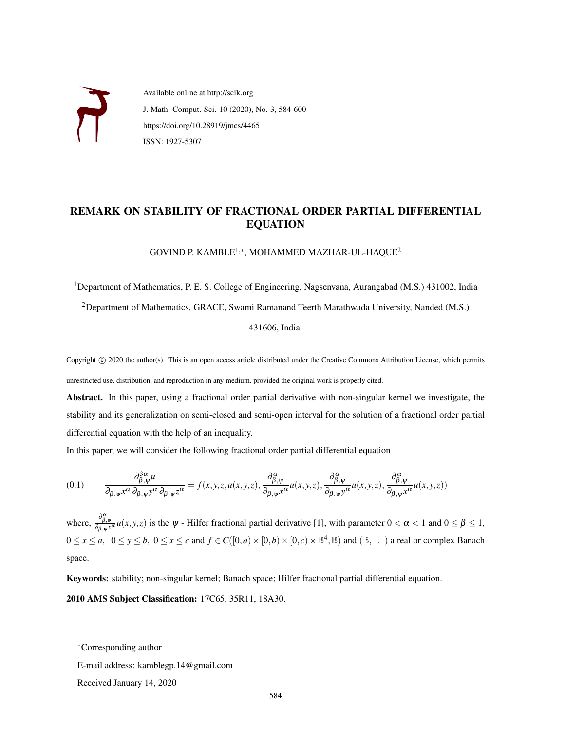

Available online at http://scik.org J. Math. Comput. Sci. 10 (2020), No. 3, 584-600 https://doi.org/10.28919/jmcs/4465 ISSN: 1927-5307

# REMARK ON STABILITY OF FRACTIONAL ORDER PARTIAL DIFFERENTIAL EQUATION

GOVIND P. KAMBLE $^{1,\ast}$ , MOHAMMED MAZHAR-UL-HAQUE $^2$ 

<sup>1</sup>Department of Mathematics, P. E. S. College of Engineering, Nagsenvana, Aurangabad (M.S.) 431002, India

<sup>2</sup>Department of Mathematics, GRACE, Swami Ramanand Teerth Marathwada University, Nanded (M.S.)

431606, India

Copyright © 2020 the author(s). This is an open access article distributed under the Creative Commons Attribution License, which permits unrestricted use, distribution, and reproduction in any medium, provided the original work is properly cited.

Abstract. In this paper, using a fractional order partial derivative with non-singular kernel we investigate, the stability and its generalization on semi-closed and semi-open interval for the solution of a fractional order partial differential equation with the help of an inequality.

In this paper, we will consider the following fractional order partial differential equation

$$
(0.1) \qquad \frac{\partial_{\beta,\psi}^{3\alpha}u}{\partial_{\beta,\psi}x^{\alpha}\partial_{\beta,\psi}y^{\alpha}\partial_{\beta,\psi}z^{\alpha}} = f(x,y,z,u(x,y,z),\frac{\partial_{\beta,\psi}^{\alpha}}{\partial_{\beta,\psi}x^{\alpha}}u(x,y,z),\frac{\partial_{\beta,\psi}^{\alpha}}{\partial_{\beta,\psi}y^{\alpha}}u(x,y,z),\frac{\partial_{\beta,\psi}^{\alpha}}{\partial_{\beta,\psi}x^{\alpha}}u(x,y,z))
$$

where,  $\frac{\partial_{\beta,\psi}}{\partial_{\beta,\psi}x^{\alpha}}u(x,y,z)$  is the  $\psi$  - Hilfer fractional partial derivative [1], with parameter  $0 < \alpha < 1$  and  $0 \le \beta \le 1$ ,  $0 \le x \le a$ ,  $0 \le y \le b$ ,  $0 \le x \le c$  and  $f \in C([0, a) \times [0, b) \times [0, c) \times \mathbb{B}^4$ ,  $\mathbb{B})$  and  $(\mathbb{B}, | \cdot |)$  a real or complex Banach space.

Keywords: stability; non-singular kernel; Banach space; Hilfer fractional partial differential equation.

2010 AMS Subject Classification: 17C65, 35R11, 18A30.

<sup>∗</sup>Corresponding author

E-mail address: kamblegp.14@gmail.com

Received January 14, 2020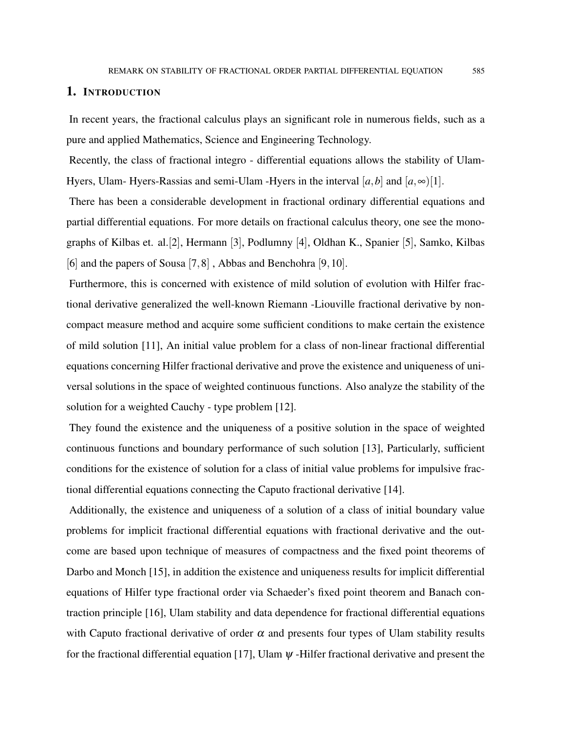### 1. INTRODUCTION

In recent years, the fractional calculus plays an significant role in numerous fields, such as a pure and applied Mathematics, Science and Engineering Technology.

Recently, the class of fractional integro - differential equations allows the stability of Ulam-Hyers, Ulam- Hyers-Rassias and semi-Ulam -Hyers in the interval  $[a,b]$  and  $[a,\infty)$ [1].

There has been a considerable development in fractional ordinary differential equations and partial differential equations. For more details on fractional calculus theory, one see the monographs of Kilbas et. al.[2], Hermann [3], Podlumny [4], Oldhan K., Spanier [5], Samko, Kilbas [6] and the papers of Sousa [7,8] , Abbas and Benchohra [9,10].

Furthermore, this is concerned with existence of mild solution of evolution with Hilfer fractional derivative generalized the well-known Riemann -Liouville fractional derivative by noncompact measure method and acquire some sufficient conditions to make certain the existence of mild solution [11], An initial value problem for a class of non-linear fractional differential equations concerning Hilfer fractional derivative and prove the existence and uniqueness of universal solutions in the space of weighted continuous functions. Also analyze the stability of the solution for a weighted Cauchy - type problem [12].

They found the existence and the uniqueness of a positive solution in the space of weighted continuous functions and boundary performance of such solution [13], Particularly, sufficient conditions for the existence of solution for a class of initial value problems for impulsive fractional differential equations connecting the Caputo fractional derivative [14].

Additionally, the existence and uniqueness of a solution of a class of initial boundary value problems for implicit fractional differential equations with fractional derivative and the outcome are based upon technique of measures of compactness and the fixed point theorems of Darbo and Monch [15], in addition the existence and uniqueness results for implicit differential equations of Hilfer type fractional order via Schaeder's fixed point theorem and Banach contraction principle [16], Ulam stability and data dependence for fractional differential equations with Caputo fractional derivative of order  $\alpha$  and presents four types of Ulam stability results for the fractional differential equation [17], Ulam  $\psi$  -Hilfer fractional derivative and present the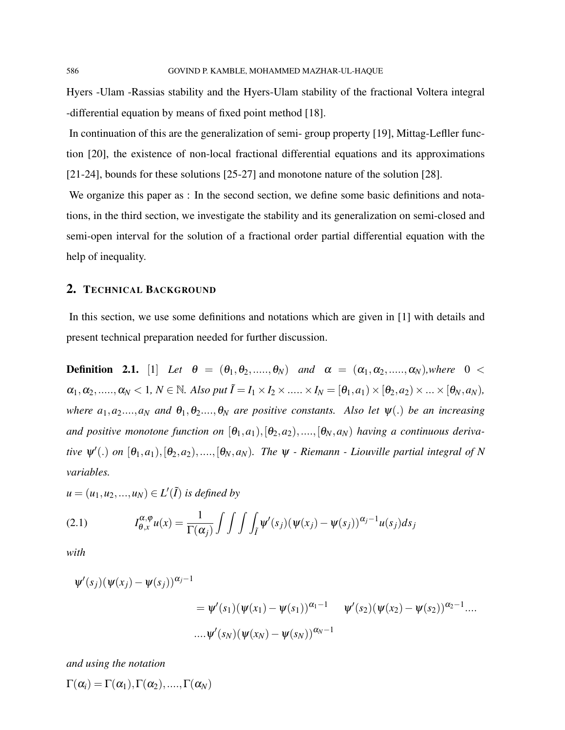Hyers -Ulam -Rassias stability and the Hyers-Ulam stability of the fractional Voltera integral -differential equation by means of fixed point method [18].

In continuation of this are the generalization of semi- group property [19], Mittag-Lefller function [20], the existence of non-local fractional differential equations and its approximations [21-24], bounds for these solutions [25-27] and monotone nature of the solution [28].

We organize this paper as : In the second section, we define some basic definitions and notations, in the third section, we investigate the stability and its generalization on semi-closed and semi-open interval for the solution of a fractional order partial differential equation with the help of inequality.

### 2. TECHNICAL BACKGROUND

In this section, we use some definitions and notations which are given in [1] with details and present technical preparation needed for further discussion.

**Definition 2.1.** [1] *Let*  $\theta = (\theta_1, \theta_2, \ldots, \theta_N)$  *and*  $\alpha = (\alpha_1, \alpha_2, \ldots, \alpha_N)$ *,where*  $0 < \theta$  $\alpha_1, \alpha_2, \ldots, \alpha_N < 1, N \in \mathbb{N}$ . Also put  $\tilde{I} = I_1 \times I_2 \times \ldots \times I_N = [\theta_1, a_1) \times [\theta_2, a_2) \times \ldots \times [\theta_N, a_N]$ , *where*  $a_1, a_2,..., a_N$  *and*  $\theta_1, \theta_2,..., \theta_N$  *are positive constants. Also let*  $\psi(.)$  *be an increasing and positive monotone function on*  $[\theta_1, a_1), [\theta_2, a_2), \ldots, [\theta_N, a_N]$  *having a continuous derivative*  $\psi'(.)$  *on*  $[\theta_1, a_1), [\theta_2, a_2), \dots, [\theta_N, a_N)$ . The  $\psi$  - Riemann - Liouville partial integral of N *variables.*

 $u = (u_1, u_2, ..., u_N) \in L'(\tilde{I})$  *is defined by* 

(2.1) 
$$
I_{\theta,x}^{\alpha,\varphi}u(x) = \frac{1}{\Gamma(\alpha_j)} \int \int \int \int \psi'(s_j) (\psi(x_j) - \psi(s_j))^{\alpha_j-1} u(s_j) ds_j
$$

*with*

$$
\psi'(s_j)(\psi(x_j) - \psi(s_j))^{\alpha_j - 1}
$$
  
=  $\psi'(s_1)(\psi(x_1) - \psi(s_1))^{\alpha_1 - 1}$   $\psi'(s_2)(\psi(x_2) - \psi(s_2))^{\alpha_2 - 1}$ ....  
 $\dots \psi'(s_N)(\psi(x_N) - \psi(s_N))^{\alpha_N - 1}$ 

*and using the notation*

 $\Gamma(\alpha_i) = \Gamma(\alpha_1), \Gamma(\alpha_2), \ldots, \Gamma(\alpha_N)$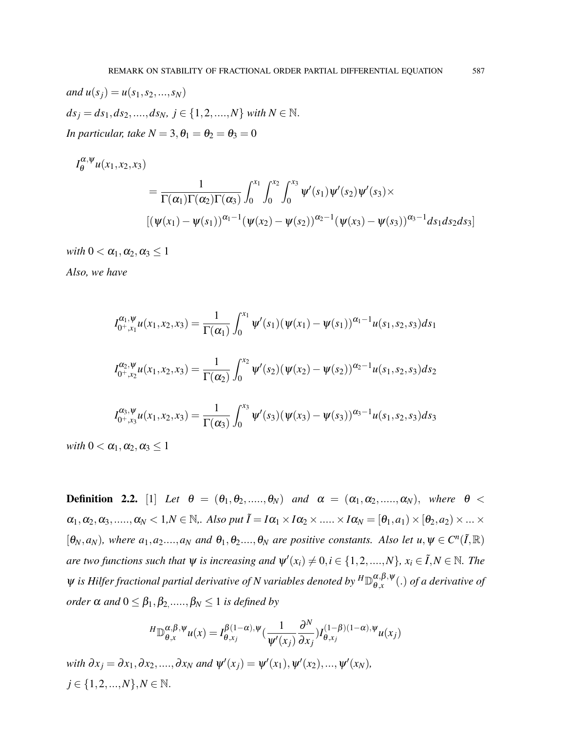*and*  $u(s_j) = u(s_1, s_2, ..., s_N)$  $ds_i = ds_1, ds_2, \ldots, ds_N, j \in \{1, 2, \ldots, N\}$  *with*  $N \in \mathbb{N}$ . *In particular, take*  $N = 3, \theta_1 = \theta_2 = \theta_3 = 0$ 

$$
I_{\theta}^{\alpha,\psi}u(x_1,x_2,x_3)
$$
  
= 
$$
\frac{1}{\Gamma(\alpha_1)\Gamma(\alpha_2)\Gamma(\alpha_3)}\int_0^{x_1}\int_0^{x_2}\int_0^{x_3}\psi'(s_1)\psi'(s_2)\psi'(s_3)\times
$$
  

$$
[(\psi(x_1)-\psi(s_1))^{\alpha_1-1}(\psi(x_2)-\psi(s_2))^{\alpha_2-1}(\psi(x_3)-\psi(s_3))^{\alpha_3-1}ds_1ds_2ds_3]
$$

*with*  $0 < \alpha_1, \alpha_2, \alpha_3 \leq 1$ 

*Also, we have*

$$
I_{0^+,x_1}^{\alpha_1,\psi}u(x_1,x_2,x_3) = \frac{1}{\Gamma(\alpha_1)} \int_0^{x_1} \psi'(s_1) (\psi(x_1) - \psi(s_1))^{\alpha_1-1} u(s_1,s_2,s_3) ds_1
$$
  

$$
I_{0^+,x_2}^{\alpha_2,\psi}u(x_1,x_2,x_3) = \frac{1}{\Gamma(\alpha_2)} \int_0^{x_2} \psi'(s_2) (\psi(x_2) - \psi(s_2))^{\alpha_2-1} u(s_1,s_2,s_3) ds_2
$$
  

$$
I_{0^+,x_3}^{\alpha_3,\psi}u(x_1,x_2,x_3) = \frac{1}{\Gamma(\alpha_3)} \int_0^{x_3} \psi'(s_3) (\psi(x_3) - \psi(s_3))^{\alpha_3-1} u(s_1,s_2,s_3) ds_3
$$

*with*  $0 < \alpha_1, \alpha_2, \alpha_3 \leq 1$ 

**Definition 2.2.** [1] Let  $\theta = (\theta_1, \theta_2, \ldots, \theta_N)$  and  $\alpha = (\alpha_1, \alpha_2, \ldots, \alpha_N)$ , where  $\theta$  <  $\alpha_1, \alpha_2, \alpha_3, \ldots, \alpha_N < 1, N \in \mathbb{N}$ , Also put  $\tilde{I} = I\alpha_1 \times I\alpha_2 \times \ldots \times I\alpha_N = [\theta_1, a_1) \times [\theta_2, a_2] \times \ldots \times I\alpha_N$  $[\theta_N, a_N]$ , where  $a_1, a_2,..., a_N$  *and*  $\theta_1, \theta_2..., \theta_N$  *are positive constants. Also let*  $u, \psi \in C^n(\tilde{I}, \mathbb{R})$ *are two functions such that*  $\psi$  *is increasing and*  $\psi'(x_i) \neq 0, i \in \{1, 2, ..., N\}$ ,  $x_i \in \tilde{I}, N \in \mathbb{N}$ . The  $ψ$  is Hilfer fractional partial derivative of N variables denoted by  ${}^H\mathbb{D}_{\theta.x}^{\alpha,\beta,\psi}$  $\theta_{\alpha}^{(\alpha,\beta,\psi)}(.)$  *of a derivative of*  $order \alpha$  and  $0 \leq \beta_1, \beta_2,.....,\beta_N \leq 1$  *is defined by* 

$$
{}^{H}\mathbb{D}_{\theta,x}^{\alpha,\beta,\psi}u(x) = I_{\theta,x_j}^{\beta(1-\alpha),\psi}\left(\frac{1}{\psi'(x_j)}\frac{\partial^N}{\partial x_j}\right)I_{\theta,x_j}^{(1-\beta)(1-\alpha),\psi}u(x_j)
$$

*with*  $\partial x_j = \partial x_1, \partial x_2, ..., \partial x_N$  *and*  $\psi'(x_j) = \psi'(x_1), \psi'(x_2), ..., \psi'(x_N)$ ,  $j \in \{1, 2, ..., N\}, N \in \mathbb{N}.$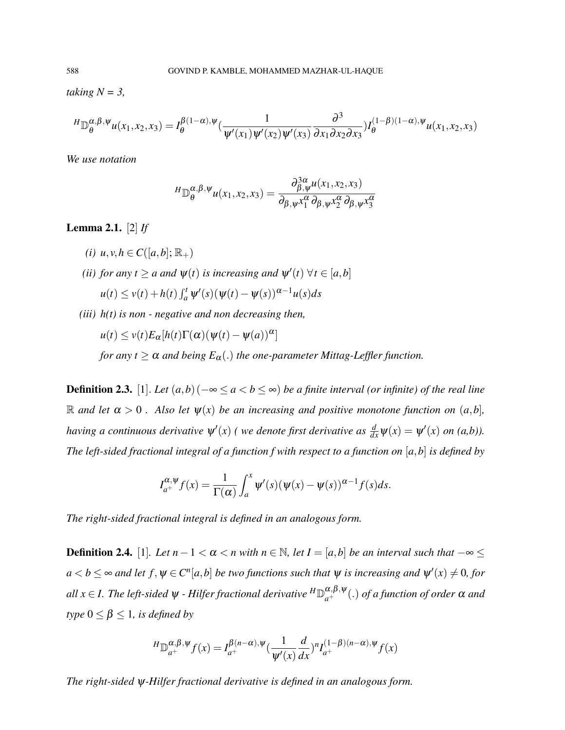*taking N = 3,*

$$
{}^{H}\mathbb{D}_{\theta}^{\alpha,\beta,\psi}u(x_1,x_2,x_3) = I_{\theta}^{\beta(1-\alpha),\psi}(\frac{1}{\psi'(x_1)\psi'(x_2)\psi'(x_3)}\frac{\partial^3}{\partial x_1 \partial x_2 \partial x_3})I_{\theta}^{(1-\beta)(1-\alpha),\psi}u(x_1,x_2,x_3)
$$

*We use notation*

$$
{}^{H}\mathbb{D}_{\theta}^{\alpha,\beta,\psi}u(x_1,x_2,x_3)=\frac{\partial_{\beta,\psi}^{3\alpha}u(x_1,x_2,x_3)}{\partial_{\beta,\psi}x_1^{\alpha}\partial_{\beta,\psi}x_2^{\alpha}\partial_{\beta,\psi}x_3^{\alpha}}
$$

# Lemma 2.1. [2] *If*

- *(i) u*, *v*, *h* ∈ *C*([*a*, *b*];  $\mathbb{R}_+$ )
- *(ii)* for any  $t \ge a$  and  $\psi(t)$  is increasing and  $\psi'(t)$   $\forall t \in [a,b]$

$$
u(t) \le v(t) + h(t) \int_a^t \psi'(s) (\psi(t) - \psi(s))^{\alpha - 1} u(s) ds
$$

*(iii) h(t) is non - negative and non decreasing then,*

 $u(t) \le v(t)E_\alpha[h(t)\Gamma(\alpha)(\psi(t)-\psi(a))^{\alpha}]$ 

*for any t*  $\geq \alpha$  *and being*  $E_{\alpha}$ (.) *the one-parameter Mittag-Leffler function.* 

**Definition 2.3.** [1]. *Let*  $(a,b)$  ( $-\infty \le a < b \le \infty$ ) *be a finite interval (or infinite) of the real line*  $\mathbb{R}$  *and let*  $\alpha > 0$ . Also let  $\psi(x)$  be an increasing and positive monotone function on  $(a,b]$ , *having a continuous derivative*  $\psi'(x)$  (*we denote first derivative as*  $\frac{d}{dx}\psi(x) = \psi'(x)$  *on* (*a,b*)). *The left-sided fractional integral of a function f with respect to a function on* [*a*,*b*] *is defined by*

$$
I_{a^{+}}^{\alpha,\psi}f(x) = \frac{1}{\Gamma(\alpha)} \int_{a}^{x} \psi'(s) (\psi(x) - \psi(s))^{\alpha-1} f(s) ds.
$$

*The right-sided fractional integral is defined in an analogous form.*

**Definition 2.4.** [1]*. Let*  $n-1 < \alpha < n$  with  $n \in \mathbb{N}$ , let  $I = [a,b]$  be an interval such that  $-\infty <$  $a < b \leq \infty$  and let  $f, \psi \in C^n[a, b]$  be two functions such that  $\psi$  is increasing and  $\psi'(x) \neq 0$ , for  $all\ x\in I.$  The left-sided  $\psi$  - Hilfer fractional derivative  $^H\mathbb{D}_{a^+}^{\alpha,\beta,\psi}(.)$  of a function of order  $\alpha$  and *type*  $0 \leq \beta \leq 1$ *, is defined by* 

$$
{}^{H}\mathbb{D}_{a^{+}}^{\alpha,\beta,\psi}f(x) = I_{a^{+}}^{\beta(n-\alpha),\psi}\left(\frac{1}{\psi'(x)}\frac{d}{dx}\right)^{n}I_{a^{+}}^{(1-\beta)(n-\alpha),\psi}f(x)
$$

*The right-sided* ψ*-Hilfer fractional derivative is defined in an analogous form.*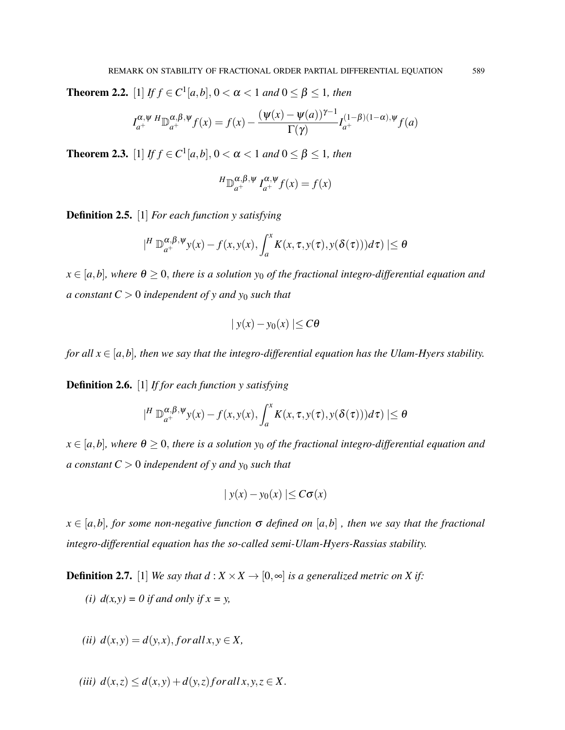**Theorem 2.2.** [1] *If*  $f \in C^1[a,b]$ , 0 < α < 1 *and* 0 ≤ β ≤ 1*, then* 

$$
I_{a^+}^{\alpha,\psi} H \mathbb{D}_{a^+}^{\alpha,\beta,\psi} f(x) = f(x) - \frac{(\psi(x) - \psi(a))^{\gamma-1}}{\Gamma(\gamma)} I_{a^+}^{(1-\beta)(1-\alpha),\psi} f(a)
$$

**Theorem 2.3.** [1] *If*  $f \in C^1[a,b]$ , 0 < α < 1 *and* 0 ≤ β ≤ 1*, then* 

$$
{}^{H}\mathbb{D}_{a^{+}}^{\alpha,\beta,\psi}I_{a^{+}}^{\alpha,\psi}f(x) = f(x)
$$

Definition 2.5. [1] *For each function y satisfying*

$$
|^{H}\mathbb{D}_{a^{+}}^{\alpha,\beta,\psi}y(x)-f(x,y(x),\int_{a}^{x}K(x,\tau,y(\tau),y(\delta(\tau)))d\tau)|\leq\theta
$$

 $x \in [a,b]$ , where  $\theta \ge 0$ , there is a solution  $y_0$  of the fractional integro-differential equation and *a constant*  $C > 0$  *independent of y and y<sub>0</sub> such that* 

$$
|y(x) - y_0(x)| \leq C\theta
$$

*for all*  $x \in [a,b]$ *, then we say that the integro-differential equation has the Ulam-Hyers stability.* 

Definition 2.6. [1] *If for each function y satisfying*

$$
|^{H} \mathbb{D}_{a^{+}}^{\alpha,\beta,\psi} y(x) - f(x,y(x), \int_{a}^{x} K(x,\tau,y(\tau),y(\delta(\tau)))d\tau)| \leq \theta
$$

 $x \in [a,b]$ *, where*  $\theta \ge 0$ *, there is a solution*  $y_0$  *of the fractional integro-differential equation and a constant*  $C > 0$  *independent of y and y<sub>0</sub> such that* 

$$
|y(x) - y_0(x)| \leq C\sigma(x)
$$

 $x \in [a,b]$ *, for some non-negative function*  $\sigma$  *defined on* [ $a,b$ ], *then* we say that the fractional *integro-differential equation has the so-called semi-Ulam-Hyers-Rassias stability.*

**Definition 2.7.** [1] *We say that*  $d : X \times X \rightarrow [0, \infty]$  *is a generalized metric on X if:* 

*(i)*  $d(x, y) = 0$  *if and only if*  $x = y$ ,

$$
(ii) d(x,y) = d(y,x), for all x, y \in X,
$$

$$
(iii) d(x,z) \leq d(x,y) + d(y,z) for all x, y, z \in X.
$$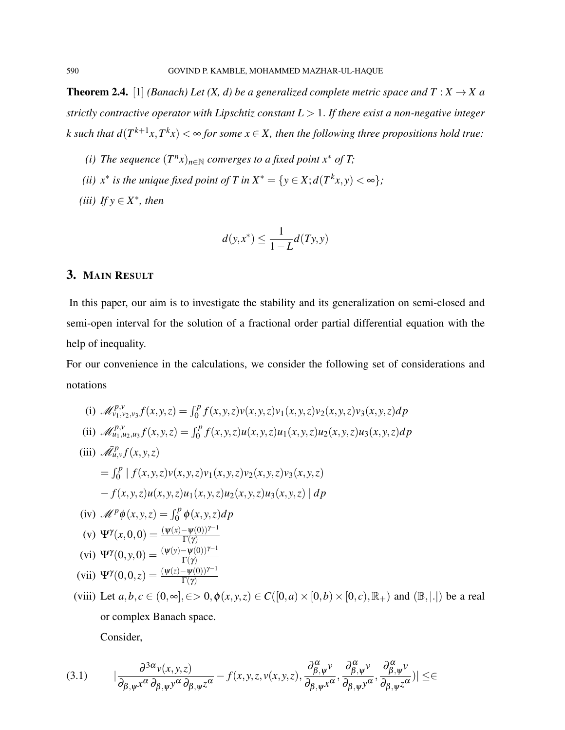**Theorem 2.4.** [1] *(Banach) Let (X, d) be a generalized complete metric space and*  $T : X \to X$  *a strictly contractive operator with Lipschtiz constant L* > 1. *If there exist a non-negative integer k* such that  $d(T^{k+1}x, T^kx) < \infty$  for some  $x \in X$ , then the following three propositions hold true:

- *(i)* The sequence  $(T^n x)_{n \in \mathbb{N}}$  converges to a fixed point  $x^*$  of T;
- *(ii)*  $x^*$  *is the unique fixed point of T in*  $X^* = \{y \in X; d(T^kx, y) < \infty\}$ ;
- (*iii*) If  $y \in X^*$ , then

$$
d(y, x^*) \le \frac{1}{1 - L} d(Ty, y)
$$

# 3. MAIN RESULT

In this paper, our aim is to investigate the stability and its generalization on semi-closed and semi-open interval for the solution of a fractional order partial differential equation with the help of inequality.

For our convenience in the calculations, we consider the following set of considerations and notations

(i) 
$$
\mathcal{M}_{v_1,v_2,v_3}^{p,v} f(x,y,z) = \int_0^p f(x,y,z)v(x,y,z)v_1(x,y,z)v_2(x,y,z)v_3(x,y,z)dp
$$
  
\n(ii)  $\mathcal{M}_{u_1,u_2,u_3}^{p,v} f(x,y,z) = \int_0^p f(x,y,z)u(x,y,z)u_1(x,y,z)u_2(x,y,z)u_3(x,y,z)dp$   
\n(iii)  $\mathcal{M}_{u,v}^p f(x,y,z)$   
\n
$$
= \int_0^p |f(x,y,z)v(x,y,z)v_1(x,y,z)v_2(x,y,z)v_3(x,y,z)
$$
\n
$$
-f(x,y,z)u(x,y,z)u_1(x,y,z)u_2(x,y,z)u_3(x,y,z) | dp
$$
  
\n(iv)  $\mathcal{M}^p \phi(x,y,z) = \int_0^p \phi(x,y,z)dp$   
\n(v)  $\Psi^{\gamma}(x,0,0) = \frac{(\psi(x)-\psi(0))^{\gamma-1}}{\Gamma(\gamma)}$   
\n(vi)  $\Psi^{\gamma}(0,y,0) = \frac{(\psi(y)-\psi(0))^{\gamma-1}}{\Gamma(\gamma)}$   
\n(vii)  $\Psi^{\gamma}(0,0,z) = \frac{(\psi(z)-\psi(0))^{\gamma-1}}{\Gamma(\gamma)}$   
\n(viii) Let  $a, b, c \in (0, \infty], \infty > 0, \phi(x,y,z) \in C([0,a) \times [0,b) \times [0,c), \mathbb{R}_+)$  and  $(\mathbb{B}, |.|)$  be a real

or complex Banach space.

Consider,

$$
(3.1) \qquad |\frac{\partial^{3\alpha}v(x,y,z)}{\partial_{\beta,\psi}x^{\alpha}\partial_{\beta,\psi}y^{\alpha}\partial_{\beta,\psi}z^{\alpha}} - f(x,y,z,v(x,y,z),\frac{\partial_{\beta,\psi}^{\alpha}v}{\partial_{\beta,\psi}x^{\alpha}},\frac{\partial_{\beta,\psi}^{\alpha}v}{\partial_{\beta,\psi}y^{\alpha}},\frac{\partial_{\beta,\psi}^{\alpha}v}{\partial_{\beta,\psi}z^{\alpha}})| \leq \infty
$$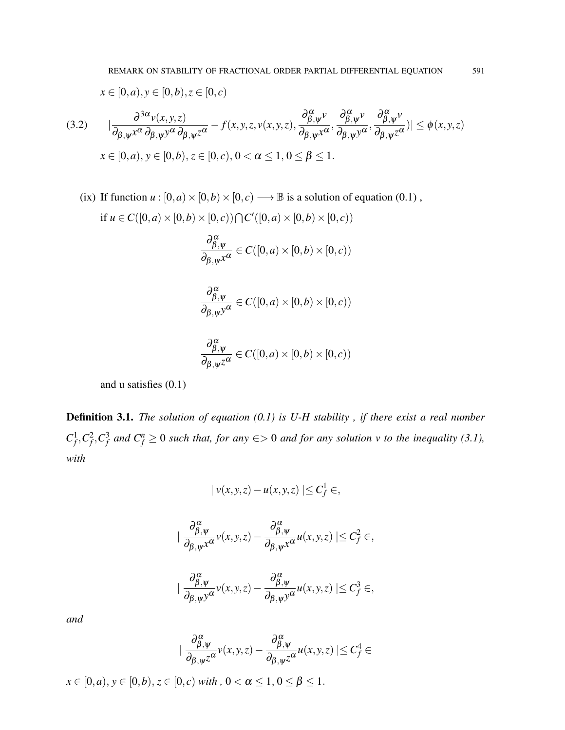$$
x \in [0, a), y \in [0, b), z \in [0, c)
$$

$$
(3.2) \qquad |\frac{\partial^{3\alpha} v(x,y,z)}{\partial_{\beta,\psi} x^{\alpha} \partial_{\beta,\psi} y^{\alpha} \partial_{\beta,\psi} z^{\alpha}} - f(x,y,z,v(x,y,z),\frac{\partial_{\beta,\psi}^{\alpha} v}{\partial_{\beta,\psi} x^{\alpha}},\frac{\partial_{\beta,\psi}^{\alpha} v}{\partial_{\beta,\psi} y^{\alpha}},\frac{\partial_{\beta,\psi}^{\alpha} v}{\partial_{\beta,\psi} z^{\alpha}})| \le \phi(x,y,z)
$$

$$
x \in [0,a), y \in [0,b), z \in [0,c), 0 < \alpha \le 1, 0 \le \beta \le 1.
$$

(ix) If function  $u : [0, a) \times [0, b) \times [0, c) \longrightarrow \mathbb{B}$  is a solution of equation (0.1),

if 
$$
u \in C([0, a) \times [0, b) \times [0, c)) \cap C'([0, a) \times [0, b) \times [0, c))
$$
  
\n
$$
\frac{\partial_{\beta, \psi}}{\partial_{\beta, \psi} x^{\alpha}} \in C([0, a) \times [0, b) \times [0, c))
$$
\n
$$
\frac{\partial_{\beta, \psi}}{\partial_{\beta, \psi} y^{\alpha}} \in C([0, a) \times [0, b) \times [0, c))
$$
\n
$$
\frac{\partial_{\beta, \psi}}{\partial_{\beta, \psi} z^{\alpha}} \in C([0, a) \times [0, b) \times [0, c))
$$

and u satisfies (0.1)

Definition 3.1. *The solution of equation (0.1) is U-H stability , if there exist a real number*  $C_f^1, C_f^2, C_f^3$  and  $C_f^n \ge 0$  such that, for any  $\epsilon > 0$  and for any solution v to the inequality (3.1), *with*

$$
|v(x,y,z)-u(x,y,z)| \leq C_f^1 \in
$$

$$
|\frac{\partial_{\beta,\psi}^{\alpha}}{\partial_{\beta,\psi}x^{\alpha}}v(x,y,z)-\frac{\partial_{\beta,\psi}^{\alpha}}{\partial_{\beta,\psi}x^{\alpha}}u(x,y,z)|\leq C_{f}^{2}\in,
$$

$$
|\frac{\partial_{\beta,\psi}^{\alpha}}{\partial_{\beta,\psi}y^{\alpha}}v(x,y,z)-\frac{\partial_{\beta,\psi}^{\alpha}}{\partial_{\beta,\psi}y^{\alpha}}u(x,y,z)|\leq C_{f}^{3}\in,
$$

*and*

$$
|\frac{\partial^{\alpha}_{\beta,\psi}}{\partial_{\beta,\psi}z^{\alpha}}v(x,y,z)-\frac{\partial^{\alpha}_{\beta,\psi}}{\partial_{\beta,\psi}z^{\alpha}}u(x,y,z)|\leq C_{f}^{4}\in
$$

 $x \in [0, a), y \in [0, b), z \in [0, c)$  *with* ,  $0 < \alpha \leq 1, 0 \leq \beta \leq 1$ .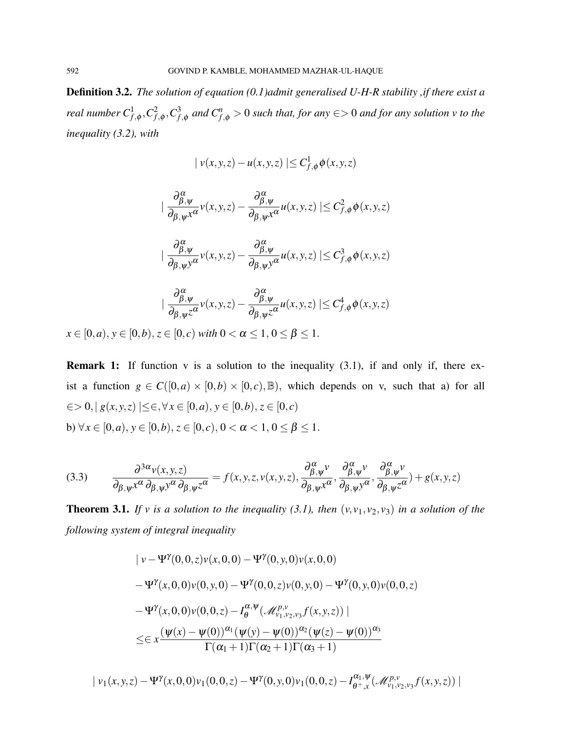Definition 3.2. *The solution of equation (0.1)admit generalised U-H-R stability ,if there exist a real number*  $C_{f,\phi}^1$ ,  $C_{f,\phi}^2$ ,  $C_{f,\phi}^3$  *and*  $C_{f,\phi}^n$  > 0 *such that, for any*  $\in$  > 0 *and for any solution v to the inequality (3.2), with*

$$
|v(x,y,z) - u(x,y,z)| \leq C_{f,\phi}^1 \phi(x,y,z)
$$

$$
\begin{aligned}\n&\|\frac{\partial_{\beta,\psi}^{\alpha}}{\partial_{\beta,\psi}x^{\alpha}}v(x,y,z)-\frac{\partial_{\beta,\psi}^{\alpha}}{\partial_{\beta,\psi}x^{\alpha}}u(x,y,z)\|\leq C_{f,\phi}^{2}\phi(x,y,z) \\
&\|\frac{\partial_{\beta,\psi}^{\alpha}}{\partial_{\beta,\psi}y^{\alpha}}v(x,y,z)-\frac{\partial_{\beta,\psi}^{\alpha}}{\partial_{\beta,\psi}y^{\alpha}}u(x,y,z)\|\leq C_{f,\phi}^{3}\phi(x,y,z) \\
&\|\frac{\partial_{\beta,\psi}^{\alpha}}{\partial_{\beta,\psi}z^{\alpha}}v(x,y,z)-\frac{\partial_{\beta,\psi}^{\alpha}}{\partial_{\beta,\psi}z^{\alpha}}u(x,y,z)\|\leq C_{f,\phi}^{4}\phi(x,y,z)\n\end{aligned}
$$

 $x \in [0, a), y \in [0, b), z \in [0, c)$  *with*  $0 < \alpha \leq 1, 0 \leq \beta \leq 1$ .

**Remark 1:** If function v is a solution to the inequality  $(3.1)$ , if and only if, there exist a function  $g \in C([0,a) \times [0,b) \times [0,c), \mathbb{B})$ , which depends on v, such that a) for all ∈> 0,| *g*(*x*, *y*,*z*) |≤∈,∀*x* ∈ [0,*a*), *y* ∈ [0,*b*), *z* ∈ [0, *c*) b)  $\forall x \in [0, a), y \in [0, b), z \in [0, c), 0 < \alpha < 1, 0 \le \beta \le 1.$ 

(3.3) 
$$
\frac{\partial^{3\alpha} v(x, y, z)}{\partial_{\beta, \psi} x^{\alpha} \partial_{\beta, \psi} y^{\alpha} \partial_{\beta, \psi} z^{\alpha}} = f(x, y, z, v(x, y, z), \frac{\partial_{\beta, \psi}^{\alpha} v}{\partial_{\beta, \psi} x^{\alpha}}, \frac{\partial_{\beta, \psi}^{\alpha} v}{\partial_{\beta, \psi} y^{\alpha}}, \frac{\partial_{\beta, \psi}^{\alpha} v}{\partial_{\beta, \psi} z^{\alpha}}) + g(x, y, z)
$$

**Theorem 3.1.** *If v is a solution to the inequality (3.1), then*  $(v, v_1, v_2, v_3)$  *in a solution of the following system of integral inequality*

$$
\begin{aligned} &|v - \Psi^{\gamma}(0,0,z)v(x,0,0) - \Psi^{\gamma}(0,y,0)v(x,0,0) \\ &- \Psi^{\gamma}(x,0,0)v(0,y,0) - \Psi^{\gamma}(0,0,z)v(0,y,0) - \Psi^{\gamma}(0,y,0)v(0,0,z) \\ &- \Psi^{\gamma}(x,0,0)v(0,0,z) - I_{\theta}^{\alpha,\psi}(\mathcal{M}_{v_1,v_2,v_3}^{\rho,v}f(x,y,z)) \mid \\ &\leq & \leq x \frac{(\psi(x) - \psi(0))^{\alpha_1}(\psi(y) - \psi(0))^{\alpha_2}(\psi(z) - \psi(0))^{\alpha_3}}{\Gamma(\alpha_1 + 1)\Gamma(\alpha_2 + 1)\Gamma(\alpha_3 + 1)} \end{aligned}
$$

$$
\mid\nu_1(x,y,z)-\Psi^{\gamma}(x,0,0)\nu_1(0,0,z)-\Psi^{\gamma}(0,y,0)\nu_1(0,0,z)-I^{\alpha_1,\psi}_{\theta^+,x}(\mathscr{M}^{p,\nu}_{\nu_1,\nu_2,\nu_3}f(x,y,z))\mid
$$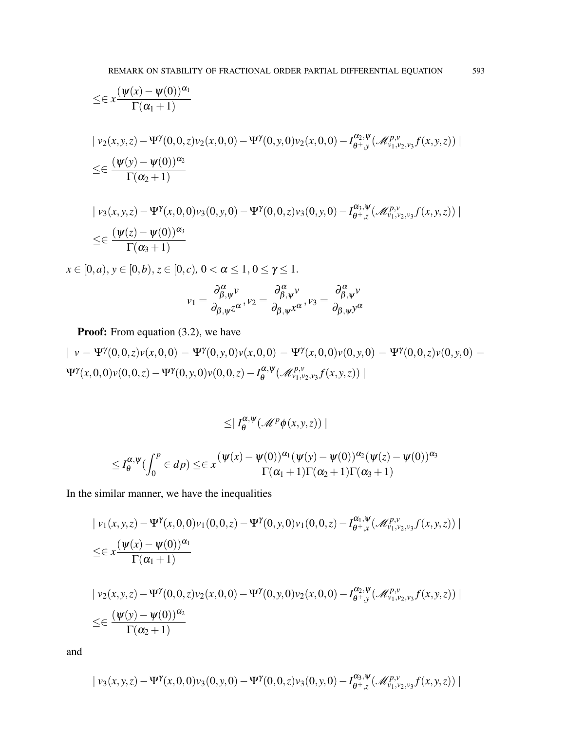$$
\leq \epsilon x \frac{(\psi(x) - \psi(0))^{\alpha_1}}{\Gamma(\alpha_1 + 1)}
$$
\n  
\n| v<sub>2</sub>(x, y, z) - \Psi^{\gamma}(0, 0, z) v<sub>2</sub>(x, 0, 0) - \Psi^{\gamma}(0, y, 0) v<sub>2</sub>(x, 0, 0) - I<sub>\theta + y</sub><sup>\alpha\_2, \Psi</sup> (M<sub>\gamma\_1, \gamma\_2, \gamma\_3</sub><sup>\beta</sup> f(x, y, z)) |  
\n
$$
\leq \epsilon \frac{(\psi(y) - \psi(0))^{\alpha_2}}{\Gamma(\alpha_2 + 1)}
$$

$$
\begin{aligned} & \mid v_3(x, y, z) - \Psi^\gamma(x, 0, 0)v_3(0, y, 0) - \Psi^\gamma(0, 0, z)v_3(0, y, 0) - I_{\theta^+, z}^{\alpha_3, \Psi}(\mathcal{M}_{v_1, v_2, v_3}^{p, \nu} f(x, y, z)) \mid \\ &\leq & \in \frac{(\Psi(z) - \Psi(0))^{\alpha_3}}{\Gamma(\alpha_3 + 1)} \end{aligned}
$$

 $x \in [0, a), y \in [0, b), z \in [0, c), 0 < \alpha \leq 1, 0 \leq \gamma \leq 1.$ 

$$
v_1 = \frac{\partial_{\beta,\psi}^{\alpha} v}{\partial_{\beta,\psi} z^{\alpha}}, v_2 = \frac{\partial_{\beta,\psi}^{\alpha} v}{\partial_{\beta,\psi} x^{\alpha}}, v_3 = \frac{\partial_{\beta,\psi}^{\alpha} v}{\partial_{\beta,\psi} y^{\alpha}}
$$

Proof: From equation (3.2), we have

$$
| v - \Psi^{\gamma}(0,0,z)v(x,0,0) - \Psi^{\gamma}(0,y,0)v(x,0,0) - \Psi^{\gamma}(x,0,0)v(0,y,0) - \Psi^{\gamma}(0,0,z)v(0,y,0) - \Psi^{\gamma}(x,0,0)v(0,0,z) - \Psi^{\gamma}(0,y,0)v(0,0,z) - I_{\theta}^{\alpha,\psi}(\mathcal{M}_{v_1,v_2,v_3}^{\rho,v}f(x,y,z)) |
$$

$$
\leq |I_{\theta}^{\alpha,\Psi}(\mathcal{M}^p\phi(x,y,z))|
$$

$$
\leq I_{\theta}^{\alpha,\psi}(\int_0^p \in dp) \leq \in x \frac{(\psi(x) - \psi(0))^{\alpha_1}(\psi(y) - \psi(0))^{\alpha_2}(\psi(z) - \psi(0))^{\alpha_3}}{\Gamma(\alpha_1 + 1)\Gamma(\alpha_2 + 1)\Gamma(\alpha_3 + 1)}
$$

In the similar manner, we have the inequalities

$$
\begin{aligned} & \mid v_1(x, y, z) - \Psi^\gamma(x, 0, 0)v_1(0, 0, z) - \Psi^\gamma(0, y, 0)v_1(0, 0, z) - I_{\theta^+, x}^{\alpha_1, \Psi}(\mathcal{M}_{v_1, v_2, v_3}^{p, v} f(x, y, z)) \mid \\ &\leq \in x \frac{(\Psi(x) - \Psi(0))^{\alpha_1}}{\Gamma(\alpha_1 + 1)} \end{aligned}
$$

$$
\begin{aligned} & \mid v_2(x, y, z) - \Psi^{\gamma}(0, 0, z)v_2(x, 0, 0) - \Psi^{\gamma}(0, y, 0)v_2(x, 0, 0) - I_{\theta^+, y}^{\alpha_2, \Psi}(\mathcal{M}_{v_1, v_2, v_3}^{p, v} f(x, y, z)) \mid \\ &\leq \in \frac{(\psi(y) - \psi(0))^{\alpha_2}}{\Gamma(\alpha_2 + 1)} \end{aligned}
$$

and

$$
\mid v_{3}(x,y,z)-\Psi^{\gamma}(x,0,0)v_{3}(0,y,0)-\Psi^{\gamma}(0,0,z)v_{3}(0,y,0)-I^{\alpha_{3},\psi}_{\theta^{+},z}(\mathscr{M}_{v_{1},v_{2},v_{3}}^{p,v}f(x,y,z))\mid
$$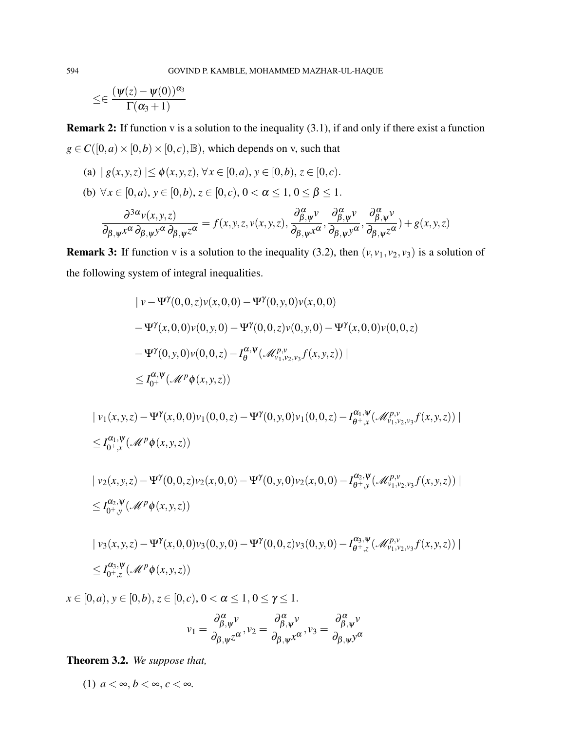$$
\leq \in \frac{(\psi(z)-\psi(0))^{\alpha_3}}{\Gamma(\alpha_3+1)}
$$

**Remark 2:** If function v is a solution to the inequality  $(3.1)$ , if and only if there exist a function  $g \in C([0, a) \times [0, b) \times [0, c), \mathbb{B})$ , which depends on v, such that

- (a)  $| g(x, y, z) | \le \phi(x, y, z), \forall x \in [0, a), y \in [0, b), z \in [0, c).$
- (b)  $\forall x \in [0, a), y \in [0, b), z \in [0, c), 0 < \alpha \leq 1, 0 \leq \beta \leq 1.$

$$
\frac{\partial^{3\alpha}v(x,y,z)}{\partial_{\beta,\psi}x^{\alpha}\partial_{\beta,\psi}y^{\alpha}\partial_{\beta,\psi}z^{\alpha}} = f(x,y,z,v(x,y,z),\frac{\partial^{\alpha}_{\beta,\psi}v}{\partial_{\beta,\psi}x^{\alpha}},\frac{\partial^{\alpha}_{\beta,\psi}v}{\partial_{\beta,\psi}y^{\alpha}},\frac{\partial^{\alpha}_{\beta,\psi}v}{\partial_{\beta,\psi}z^{\alpha}}) + g(x,y,z)
$$

**Remark 3:** If function v is a solution to the inequality (3.2), then  $(v, v_1, v_2, v_3)$  is a solution of the following system of integral inequalities.

$$
\begin{aligned} & \left| \nu - \Psi^{\gamma}(0,0,z)\nu(x,0,0) - \Psi^{\gamma}(0,y,0)\nu(x,0,0) \right. \\ &\left. - \Psi^{\gamma}(x,0,0)\nu(0,y,0) - \Psi^{\gamma}(0,0,z)\nu(0,y,0) - \Psi^{\gamma}(x,0,0)\nu(0,0,z) \right. \\ &\left. - \Psi^{\gamma}(0,y,0)\nu(0,0,z) - I_{\theta}^{\alpha,\psi}(\mathcal{M}_{\nu_{1},\nu_{2},\nu_{3}}^{\rho,\nu}f(x,y,z)) \right| \\ &\le I_{0^{+}}^{\alpha,\psi}(\mathcal{M}^{p}\phi(x,y,z)) \end{aligned}
$$

$$
\begin{aligned} & \mid v_1(x, y, z) - \Psi^\gamma(x, 0, 0)v_1(0, 0, z) - \Psi^\gamma(0, y, 0)v_1(0, 0, z) - I_{\theta^+, x}^{\alpha_1, \Psi}(\mathcal{M}_{v_1, v_2, v_3}^{p, \nu} f(x, y, z)) \mid \\ &\le I_{0^+, x}^{\alpha_1, \Psi}(\mathcal{M}^p \phi(x, y, z)) \end{aligned}
$$

$$
\begin{aligned} & \mid v_2(x, y, z) - \Psi^{\gamma}(0, 0, z)v_2(x, 0, 0) - \Psi^{\gamma}(0, y, 0)v_2(x, 0, 0) - I_{\theta^+, y}^{\alpha_2, \Psi}(\mathcal{M}_{v_1, v_2, v_3}^{p, v} f(x, y, z)) \mid \\ &\le I_{0^+, y}^{\alpha_2, \Psi}(\mathcal{M}^p \phi(x, y, z)) \end{aligned}
$$

$$
\begin{aligned} & \mid v_3(x, y, z) - \Psi^\gamma(x, 0, 0)v_3(0, y, 0) - \Psi^\gamma(0, 0, z)v_3(0, y, 0) - I_{\theta^+, z}^{\alpha_3, \Psi}(\mathcal{M}_{v_1, v_2, v_3}^{p, v} f(x, y, z)) \mid \\ &\le I_{0^+, z}^{\alpha_3, \Psi}(\mathcal{M}^p \phi(x, y, z)) \end{aligned}
$$

 $x \in [0, a), y \in [0, b), z \in [0, c), 0 < \alpha \leq 1, 0 \leq \gamma \leq 1.$ 

$$
v_1 = \frac{\partial_{\beta,\psi}^{\alpha} v}{\partial_{\beta,\psi} z^{\alpha}}, v_2 = \frac{\partial_{\beta,\psi}^{\alpha} v}{\partial_{\beta,\psi} x^{\alpha}}, v_3 = \frac{\partial_{\beta,\psi}^{\alpha} v}{\partial_{\beta,\psi} y^{\alpha}}
$$

Theorem 3.2. *We suppose that,*

(1)  $a < \infty, b < \infty, c < \infty$ .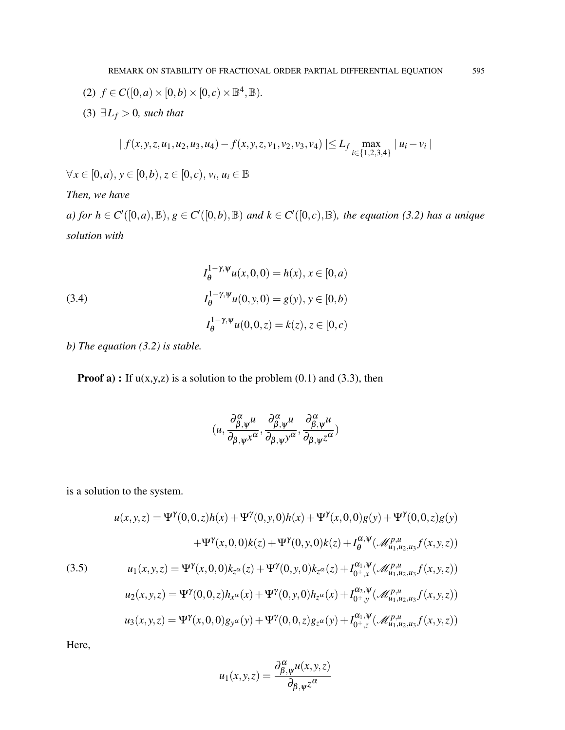- (2)  $f \in C([0, a) \times [0, b) \times [0, c) \times \mathbb{B}^4, \mathbb{B})$ .
- (3)  $\exists L_f > 0$ *, such that*

$$
| f(x, y, z, u_1, u_2, u_3, u_4) - f(x, y, z, v_1, v_2, v_3, v_4) | \le L_f \max_{i \in \{1, 2, 3, 4\}} |u_i - v_i|
$$

 $\forall x \in [0, a), y \in [0, b), z \in [0, c), v_i, u_i \in \mathbb{B}$ 

# *Then, we have*

*a)* for  $h \in C'([0,a),\mathbb{B})$ ,  $g \in C'([0,b),\mathbb{B})$  and  $k \in C'([0,c),\mathbb{B})$ , the equation (3.2) has a unique *solution with*

(3.4)  
\n
$$
I_{\theta}^{1-\gamma,\psi}u(x,0,0) = h(x), x \in [0,a)
$$
\n
$$
I_{\theta}^{1-\gamma,\psi}u(0,y,0) = g(y), y \in [0,b)
$$
\n
$$
I_{\theta}^{1-\gamma,\psi}u(0,0,z) = k(z), z \in [0,c)
$$

*b) The equation (3.2) is stable.*

**Proof a)**: If  $u(x,y,z)$  is a solution to the problem  $(0.1)$  and  $(3.3)$ , then

$$
(u, \frac{\partial_{\beta,\psi}^{\alpha}u}{\partial_{\beta,\psi}x^{\alpha}}, \frac{\partial_{\beta,\psi}^{\alpha}u}{\partial_{\beta,\psi}y^{\alpha}}, \frac{\partial_{\beta,\psi}^{\alpha}u}{\partial_{\beta,\psi}z^{\alpha}})
$$

is a solution to the system.

(3.5)  
\n
$$
u(x, y, z) = \Psi^{\gamma}(0, 0, z)h(x) + \Psi^{\gamma}(0, y, 0)h(x) + \Psi^{\gamma}(x, 0, 0)g(y) + \Psi^{\gamma}(0, 0, z)g(y)
$$
\n
$$
+ \Psi^{\gamma}(x, 0, 0)k(z) + \Psi^{\gamma}(0, y, 0)k(z) + I_{\theta}^{\alpha, \Psi}(\mathscr{M}_{u_1, u_2, u_3}^{p, u} f(x, y, z))
$$
\n(3.5)  
\n
$$
u_1(x, y, z) = \Psi^{\gamma}(x, 0, 0)k_{z^{\alpha}}(z) + \Psi^{\gamma}(0, y, 0)k_{z^{\alpha}}(z) + I_{0^+, x}^{\alpha_1, \Psi}(\mathscr{M}_{u_1, u_2, u_3}^{p, u} f(x, y, z))
$$
\n
$$
u_2(x, y, z) = \Psi^{\gamma}(0, 0, z)h_{x^{\alpha}}(x) + \Psi^{\gamma}(0, y, 0)h_{z^{\alpha}}(x) + I_{0^+, y}^{\alpha_2, \Psi}(\mathscr{M}_{u_1, u_2, u_3}^{p, u} f(x, y, z))
$$
\n
$$
u_3(x, y, z) = \Psi^{\gamma}(x, 0, 0)g_{y^{\alpha}}(y) + \Psi^{\gamma}(0, 0, z)g_{z^{\alpha}}(y) + I_{0^+, z}^{\alpha_1, \Psi}(\mathscr{M}_{u_1, u_2, u_3}^{p, u} f(x, y, z))
$$

Here,

$$
u_1(x, y, z) = \frac{\partial_{\beta, \psi}^{\alpha} u(x, y, z)}{\partial_{\beta, \psi} z^{\alpha}}
$$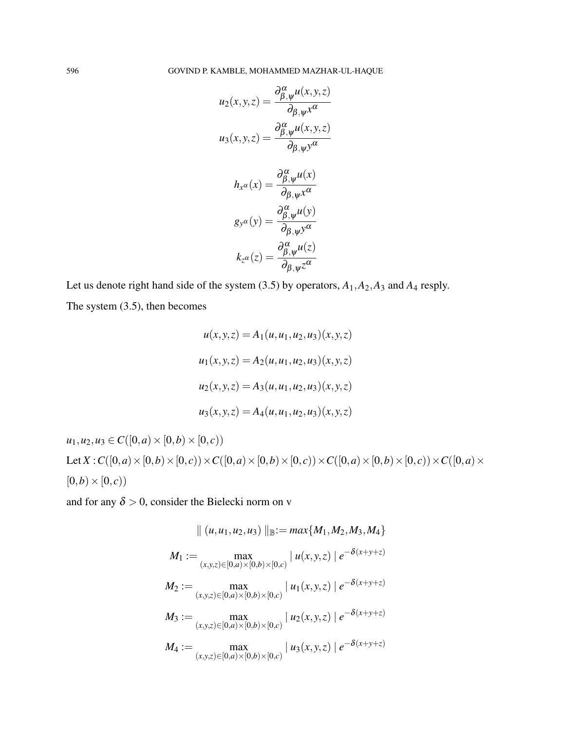$$
u_2(x, y, z) = \frac{\partial_{\beta, \psi}^{\alpha} u(x, y, z)}{\partial_{\beta, \psi} x^{\alpha}}
$$

$$
u_3(x, y, z) = \frac{\partial_{\beta, \psi}^{\alpha} u(x, y, z)}{\partial_{\beta, \psi} y^{\alpha}}
$$

$$
h_{x^{\alpha}}(x) = \frac{\partial_{\beta, \psi}^{\alpha} u(x)}{\partial_{\beta, \psi} x^{\alpha}}
$$

$$
g_{y^{\alpha}}(y) = \frac{\partial_{\beta, \psi}^{\alpha} u(y)}{\partial_{\beta, \psi} y^{\alpha}}
$$

$$
k_{z^{\alpha}}(z) = \frac{\partial_{\beta, \psi}^{\alpha} u(z)}{\partial_{\beta, \psi} z^{\alpha}}
$$

Let us denote right hand side of the system (3.5) by operators, *A*1,*A*2,*A*<sup>3</sup> and *A*<sup>4</sup> resply. The system (3.5), then becomes

$$
u(x, y, z) = A_1(u, u_1, u_2, u_3)(x, y, z)
$$
  

$$
u_1(x, y, z) = A_2(u, u_1, u_2, u_3)(x, y, z)
$$
  

$$
u_2(x, y, z) = A_3(u, u_1, u_2, u_3)(x, y, z)
$$
  

$$
u_3(x, y, z) = A_4(u, u_1, u_2, u_3)(x, y, z)
$$

 $u_1, u_2, u_3 \in C([0, a) \times [0, b) \times [0, c))$ Let  $X: C([0, a) \times [0, b) \times [0, c)) \times C([0, a) \times [0, b) \times [0, c)) \times C([0, a) \times [0, b) \times [0, c)) \times C([0, a) \times [0, c)$  $[0,b) \times [0, c)$ 

and for any  $\delta > 0$ , consider the Bielecki norm on v

$$
\| (u, u_1, u_2, u_3) \|_{\mathbb{B}} := \max\{M_1, M_2, M_3, M_4\}
$$
  
\n
$$
M_1 := \max_{(x, y, z) \in [0, a) \times [0, b) \times [0, c)} |u(x, y, z)| e^{-\delta(x + y + z)}
$$
  
\n
$$
M_2 := \max_{(x, y, z) \in [0, a) \times [0, b) \times [0, c)} |u_1(x, y, z)| e^{-\delta(x + y + z)}
$$
  
\n
$$
M_3 := \max_{(x, y, z) \in [0, a) \times [0, b) \times [0, c)} |u_2(x, y, z)| e^{-\delta(x + y + z)}
$$
  
\n
$$
M_4 := \max_{(x, y, z) \in [0, a) \times [0, b) \times [0, c)} |u_3(x, y, z)| e^{-\delta(x + y + z)}
$$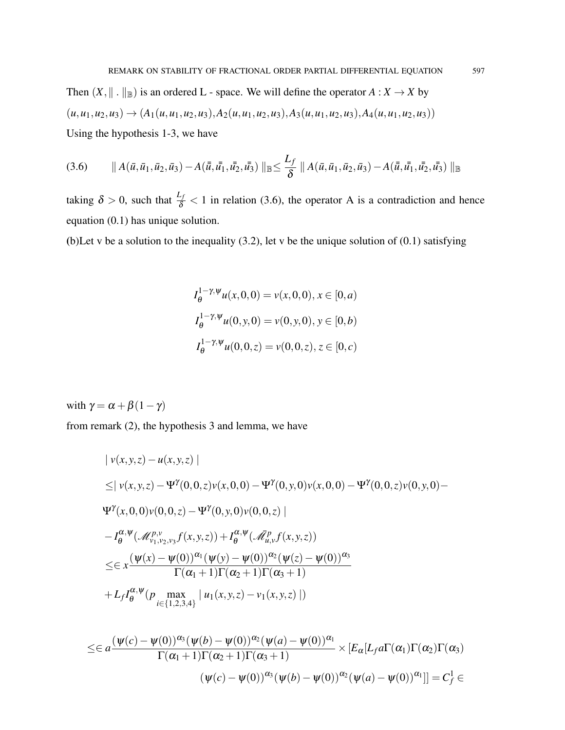Then  $(X, \| \| \|_{\mathbb{B}})$  is an ordered L - space. We will define the operator  $A : X \to X$  by  $(u, u_1, u_2, u_3) \rightarrow (A_1(u, u_1, u_2, u_3), A_2(u, u_1, u_2, u_3), A_3(u, u_1, u_2, u_3), A_4(u, u_1, u_2, u_3))$ Using the hypothesis 1-3, we have

$$
(3.6) \qquad \parallel A(\bar{u}, \bar{u}_1, \bar{u}_2, \bar{u}_3) - A(\bar{\bar{u}}, \bar{u}_1, \bar{u}_2, \bar{u}_3) \parallel_{\mathbb{B}} \leq \frac{L_f}{\delta} \parallel A(\bar{u}, \bar{u}_1, \bar{u}_2, \bar{u}_3) - A(\bar{\bar{u}}, \bar{u}_1, \bar{u}_2, \bar{u}_3) \parallel_{\mathbb{B}}
$$

taking  $\delta > 0$ , such that  $\frac{L_f}{\delta} < 1$  in relation (3.6), the operator A is a contradiction and hence equation (0.1) has unique solution.

(b)Let v be a solution to the inequality (3.2), let v be the unique solution of (0.1) satisfying

$$
I_{\theta}^{1-\gamma,\psi}u(x,0,0) = v(x,0,0), x \in [0,a)
$$
  

$$
I_{\theta}^{1-\gamma,\psi}u(0,y,0) = v(0,y,0), y \in [0,b)
$$
  

$$
I_{\theta}^{1-\gamma,\psi}u(0,0,z) = v(0,0,z), z \in [0,c)
$$

with  $\gamma = \alpha + \beta(1-\gamma)$ 

from remark (2), the hypothesis 3 and lemma, we have

$$
|v(x, y, z) - u(x, y, z)|
$$
  
\n
$$
\leq |v(x, y, z) - \Psi^{\gamma}(0, 0, z)v(x, 0, 0) - \Psi^{\gamma}(0, y, 0)v(x, 0, 0) - \Psi^{\gamma}(0, 0, z)v(0, y, 0) -
$$
  
\n
$$
\Psi^{\gamma}(x, 0, 0)v(0, 0, z) - \Psi^{\gamma}(0, y, 0)v(0, 0, z)|
$$
  
\n
$$
-I_{\theta}^{\alpha, \psi}(\mathcal{M}_{\nu_1, \nu_2, \nu_3}^{\rho, \nu}f(x, y, z)) + I_{\theta}^{\alpha, \psi}(\mathcal{M}_{u, \nu}^{\rho}f(x, y, z))
$$
  
\n
$$
\leq \epsilon x \frac{(\Psi(x) - \Psi(0))^{\alpha_1}(\Psi(y) - \Psi(0))^{\alpha_2}(\Psi(z) - \Psi(0))^{\alpha_3}}{\Gamma(\alpha_1 + 1)\Gamma(\alpha_2 + 1)\Gamma(\alpha_3 + 1)}
$$
  
\n
$$
+ L_f I_{\theta}^{\alpha, \psi}(p \max_{i \in \{1, 2, 3, 4\}} |u_1(x, y, z) - v_1(x, y, z)|)
$$

$$
\leq \in a \frac{(\psi(c) - \psi(0))^{\alpha_3}(\psi(b) - \psi(0))^{\alpha_2}(\psi(a) - \psi(0))^{\alpha_1}}{\Gamma(\alpha_1 + 1)\Gamma(\alpha_2 + 1)\Gamma(\alpha_3 + 1)} \times [E_{\alpha}[L_f a \Gamma(\alpha_1)\Gamma(\alpha_2)\Gamma(\alpha_3)]
$$

$$
(\psi(c) - \psi(0))^{\alpha_3}(\psi(b) - \psi(0))^{\alpha_2}(\psi(a) - \psi(0))^{\alpha_1}] = C_f^1 \in
$$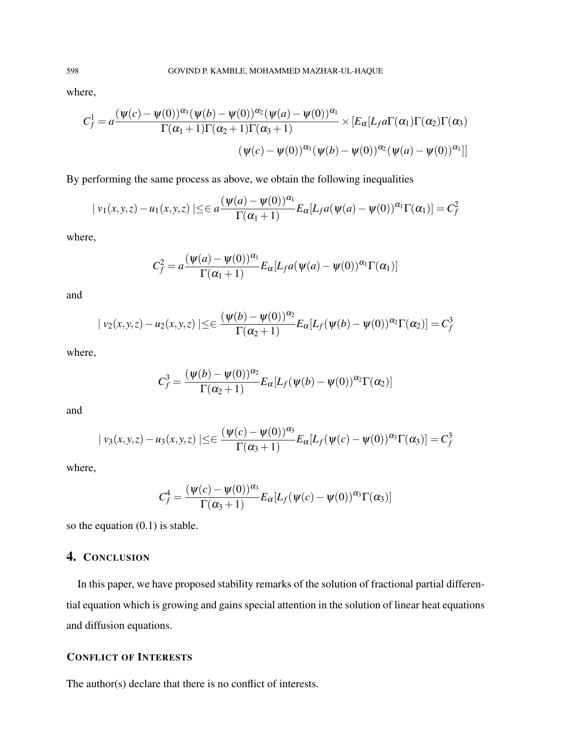where,

$$
C_f^1 = a \frac{(\psi(c) - \psi(0))^{\alpha_3}(\psi(b) - \psi(0))^{\alpha_2}(\psi(a) - \psi(0))^{\alpha_1}}{\Gamma(\alpha_1 + 1)\Gamma(\alpha_2 + 1)\Gamma(\alpha_3 + 1)} \times [E_\alpha[L_f a \Gamma(\alpha_1)\Gamma(\alpha_2)\Gamma(\alpha_3)]
$$

$$
(\psi(c) - \psi(0))^{\alpha_3}(\psi(b) - \psi(0))^{\alpha_2}(\psi(a) - \psi(0))^{\alpha_1}]]
$$

By performing the same process as above, we obtain the following inequalities

$$
|v_1(x,y,z) - u_1(x,y,z)| \le \epsilon a \frac{(\psi(a) - \psi(0))^{\alpha_1}}{\Gamma(\alpha_1 + 1)} E_{\alpha}[L_f a(\psi(a) - \psi(0))^{\alpha_1} \Gamma(\alpha_1)] = C_f^2
$$

where,

$$
C_f^2 = a \frac{(\psi(a) - \psi(0))^{\alpha_1}}{\Gamma(\alpha_1 + 1)} E_{\alpha}[L_f a(\psi(a) - \psi(0))^{\alpha_1} \Gamma(\alpha_1)]
$$

and

$$
|v_2(x,y,z)-u_2(x,y,z)| \leq \varepsilon \frac{(\psi(b)-\psi(0))^{\alpha_2}}{\Gamma(\alpha_2+1)} E_{\alpha}[L_f(\psi(b)-\psi(0))^{\alpha_2}\Gamma(\alpha_2)] = C_f^3
$$

where,

$$
C_f^3 = \frac{(\psi(b) - \psi(0))^{\alpha_2}}{\Gamma(\alpha_2 + 1)} E_{\alpha}[L_f(\psi(b) - \psi(0))^{\alpha_2}\Gamma(\alpha_2)]
$$

and

$$
|v_3(x,y,z)-u_3(x,y,z)| \leq \frac{(\psi(c)-\psi(0))^{\alpha_3}}{\Gamma(\alpha_3+1)} E_{\alpha}[L_f(\psi(c)-\psi(0))^{\alpha_3}\Gamma(\alpha_3)] = C_f^3
$$

where,

$$
C_f^4 = \frac{(\psi(c) - \psi(0))^{\alpha_3}}{\Gamma(\alpha_3 + 1)} E_{\alpha}[L_f(\psi(c) - \psi(0))^{\alpha_3}\Gamma(\alpha_3)]
$$

so the equation (0.1) is stable.

# 4. CONCLUSION

In this paper, we have proposed stability remarks of the solution of fractional partial differential equation which is growing and gains special attention in the solution of linear heat equations and diffusion equations.

# CONFLICT OF INTERESTS

The author(s) declare that there is no conflict of interests.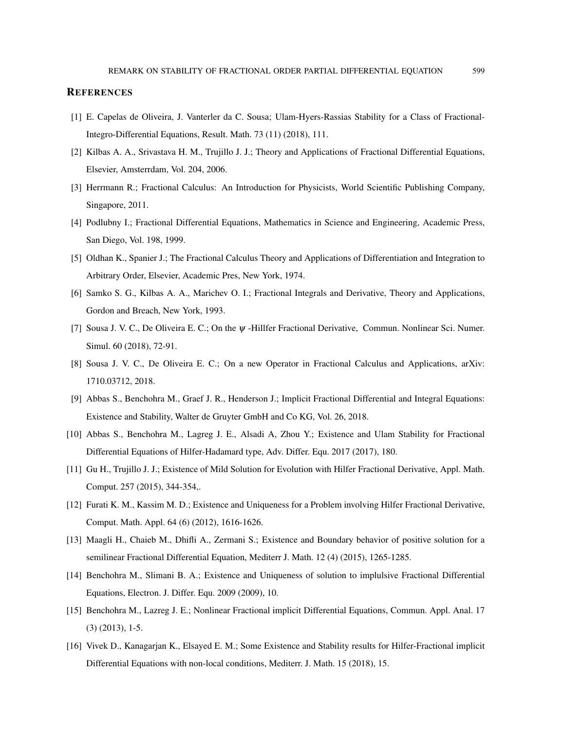#### **REFERENCES**

- [1] E. Capelas de Oliveira, J. Vanterler da C. Sousa; Ulam-Hyers-Rassias Stability for a Class of Fractional-Integro-Differential Equations, Result. Math. 73 (11) (2018), 111.
- [2] Kilbas A. A., Srivastava H. M., Trujillo J. J.; Theory and Applications of Fractional Differential Equations, Elsevier, Amsterrdam, Vol. 204, 2006.
- [3] Herrmann R.; Fractional Calculus: An Introduction for Physicists, World Scientific Publishing Company, Singapore, 2011.
- [4] Podlubny I.; Fractional Differential Equations, Mathematics in Science and Engineering, Academic Press, San Diego, Vol. 198, 1999.
- [5] Oldhan K., Spanier J.; The Fractional Calculus Theory and Applications of Differentiation and Integration to Arbitrary Order, Elsevier, Academic Pres, New York, 1974.
- [6] Samko S. G., Kilbas A. A., Marichev O. I.; Fractional Integrals and Derivative, Theory and Applications, Gordon and Breach, New York, 1993.
- [7] Sousa J. V. C., De Oliveira E. C.; On the ψ -Hillfer Fractional Derivative, Commun. Nonlinear Sci. Numer. Simul. 60 (2018), 72-91.
- [8] Sousa J. V. C., De Oliveira E. C.; On a new Operator in Fractional Calculus and Applications, arXiv: 1710.03712, 2018.
- [9] Abbas S., Benchohra M., Graef J. R., Henderson J.; Implicit Fractional Differential and Integral Equations: Existence and Stability, Walter de Gruyter GmbH and Co KG, Vol. 26, 2018.
- [10] Abbas S., Benchohra M., Lagreg J. E., Alsadi A, Zhou Y.; Existence and Ulam Stability for Fractional Differential Equations of Hilfer-Hadamard type, Adv. Differ. Equ. 2017 (2017), 180.
- [11] Gu H., Trujillo J. J.; Existence of Mild Solution for Evolution with Hilfer Fractional Derivative, Appl. Math. Comput. 257 (2015), 344-354,.
- [12] Furati K. M., Kassim M. D.; Existence and Uniqueness for a Problem involving Hilfer Fractional Derivative, Comput. Math. Appl. 64 (6) (2012), 1616-1626.
- [13] Maagli H., Chaieb M., Dhifli A., Zermani S.; Existence and Boundary behavior of positive solution for a semilinear Fractional Differential Equation, Mediterr J. Math. 12 (4) (2015), 1265-1285.
- [14] Benchohra M., Slimani B. A.; Existence and Uniqueness of solution to implulsive Fractional Differential Equations, Electron. J. Differ. Equ. 2009 (2009), 10.
- [15] Benchohra M., Lazreg J. E.; Nonlinear Fractional implicit Differential Equations, Commun. Appl. Anal. 17 (3) (2013), 1-5.
- [16] Vivek D., Kanagarjan K., Elsayed E. M.; Some Existence and Stability results for Hilfer-Fractional implicit Differential Equations with non-local conditions, Mediterr. J. Math. 15 (2018), 15.